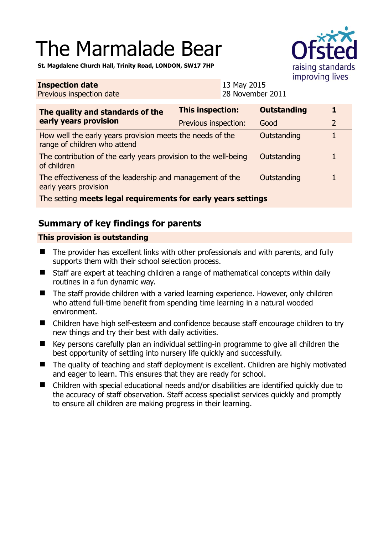# The Marmalade Bear



**St. Magdalene Church Hall, Trinity Road, LONDON, SW17 7HP** 

#### **Inspection date** Previous inspection date 13 May 2015 28 November 2011 **The quality and standards of the early years provision This inspection: Outstanding 1**  Previous inspection: Good 2 How well the early years provision meets the needs of the range of children who attend Outstanding 1 The contribution of the early years provision to the well-being of children Outstanding 1 The effectiveness of the leadership and management of the early years provision Outstanding 1 The setting **meets legal requirements for early years settings**

## **Summary of key findings for parents**

### **This provision is outstanding**

- The provider has excellent links with other professionals and with parents, and fully supports them with their school selection process.
- Staff are expert at teaching children a range of mathematical concepts within daily routines in a fun dynamic way.
- The staff provide children with a varied learning experience. However, only children who attend full-time benefit from spending time learning in a natural wooded environment.
- Children have high self-esteem and confidence because staff encourage children to try new things and try their best with daily activities.
- Key persons carefully plan an individual settling-in programme to give all children the best opportunity of settling into nursery life quickly and successfully.
- The quality of teaching and staff deployment is excellent. Children are highly motivated and eager to learn. This ensures that they are ready for school.
- Children with special educational needs and/or disabilities are identified quickly due to the accuracy of staff observation. Staff access specialist services quickly and promptly to ensure all children are making progress in their learning.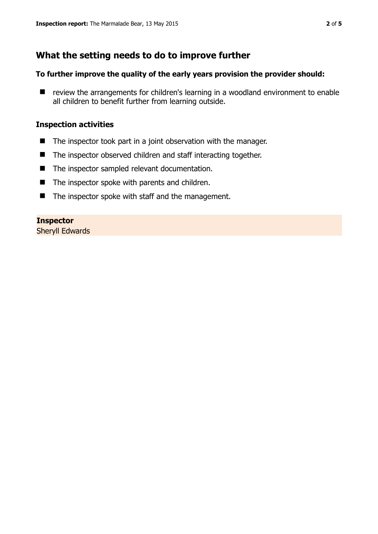## **What the setting needs to do to improve further**

#### **To further improve the quality of the early years provision the provider should:**

■ review the arrangements for children's learning in a woodland environment to enable all children to benefit further from learning outside.

#### **Inspection activities**

- The inspector took part in a joint observation with the manager.
- The inspector observed children and staff interacting together.
- The inspector sampled relevant documentation.
- $\blacksquare$  The inspector spoke with parents and children.
- The inspector spoke with staff and the management.

#### **Inspector**

Sheryll Edwards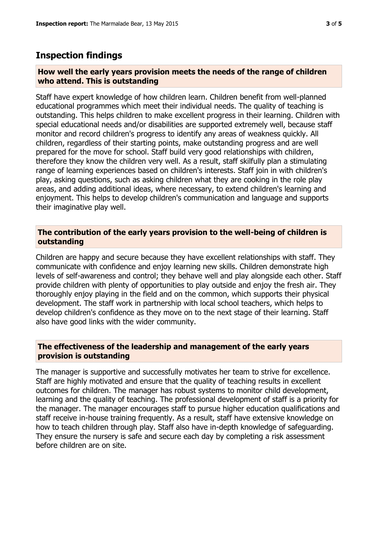## **Inspection findings**

#### **How well the early years provision meets the needs of the range of children who attend. This is outstanding**

Staff have expert knowledge of how children learn. Children benefit from well-planned educational programmes which meet their individual needs. The quality of teaching is outstanding. This helps children to make excellent progress in their learning. Children with special educational needs and/or disabilities are supported extremely well, because staff monitor and record children's progress to identify any areas of weakness quickly. All children, regardless of their starting points, make outstanding progress and are well prepared for the move for school. Staff build very good relationships with children, therefore they know the children very well. As a result, staff skilfully plan a stimulating range of learning experiences based on children's interests. Staff join in with children's play, asking questions, such as asking children what they are cooking in the role play areas, and adding additional ideas, where necessary, to extend children's learning and enjoyment. This helps to develop children's communication and language and supports their imaginative play well.

#### **The contribution of the early years provision to the well-being of children is outstanding**

Children are happy and secure because they have excellent relationships with staff. They communicate with confidence and enjoy learning new skills. Children demonstrate high levels of self-awareness and control; they behave well and play alongside each other. Staff provide children with plenty of opportunities to play outside and enjoy the fresh air. They thoroughly enjoy playing in the field and on the common, which supports their physical development. The staff work in partnership with local school teachers, which helps to develop children's confidence as they move on to the next stage of their learning. Staff also have good links with the wider community.

#### **The effectiveness of the leadership and management of the early years provision is outstanding**

The manager is supportive and successfully motivates her team to strive for excellence. Staff are highly motivated and ensure that the quality of teaching results in excellent outcomes for children. The manager has robust systems to monitor child development, learning and the quality of teaching. The professional development of staff is a priority for the manager. The manager encourages staff to pursue higher education qualifications and staff receive in-house training frequently. As a result, staff have extensive knowledge on how to teach children through play. Staff also have in-depth knowledge of safeguarding. They ensure the nursery is safe and secure each day by completing a risk assessment before children are on site.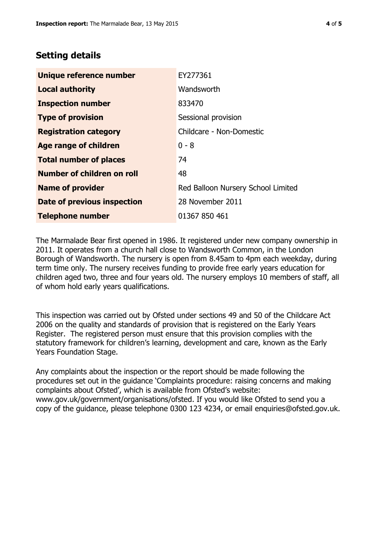## **Setting details**

| Unique reference number           | EY277361                           |
|-----------------------------------|------------------------------------|
| <b>Local authority</b>            | Wandsworth                         |
| <b>Inspection number</b>          | 833470                             |
| <b>Type of provision</b>          | Sessional provision                |
| <b>Registration category</b>      | Childcare - Non-Domestic           |
| <b>Age range of children</b>      | $0 - 8$                            |
| <b>Total number of places</b>     | 74                                 |
| <b>Number of children on roll</b> | 48                                 |
| <b>Name of provider</b>           | Red Balloon Nursery School Limited |
| Date of previous inspection       | 28 November 2011                   |
| <b>Telephone number</b>           | 01367 850 461                      |

The Marmalade Bear first opened in 1986. It registered under new company ownership in 2011. It operates from a church hall close to Wandsworth Common, in the London Borough of Wandsworth. The nursery is open from 8.45am to 4pm each weekday, during term time only. The nursery receives funding to provide free early years education for children aged two, three and four years old. The nursery employs 10 members of staff, all of whom hold early years qualifications.

This inspection was carried out by Ofsted under sections 49 and 50 of the Childcare Act 2006 on the quality and standards of provision that is registered on the Early Years Register. The registered person must ensure that this provision complies with the statutory framework for children's learning, development and care, known as the Early Years Foundation Stage.

Any complaints about the inspection or the report should be made following the procedures set out in the guidance 'Complaints procedure: raising concerns and making complaints about Ofsted', which is available from Ofsted's website: www.gov.uk/government/organisations/ofsted. If you would like Ofsted to send you a copy of the guidance, please telephone 0300 123 4234, or email enquiries@ofsted.gov.uk.